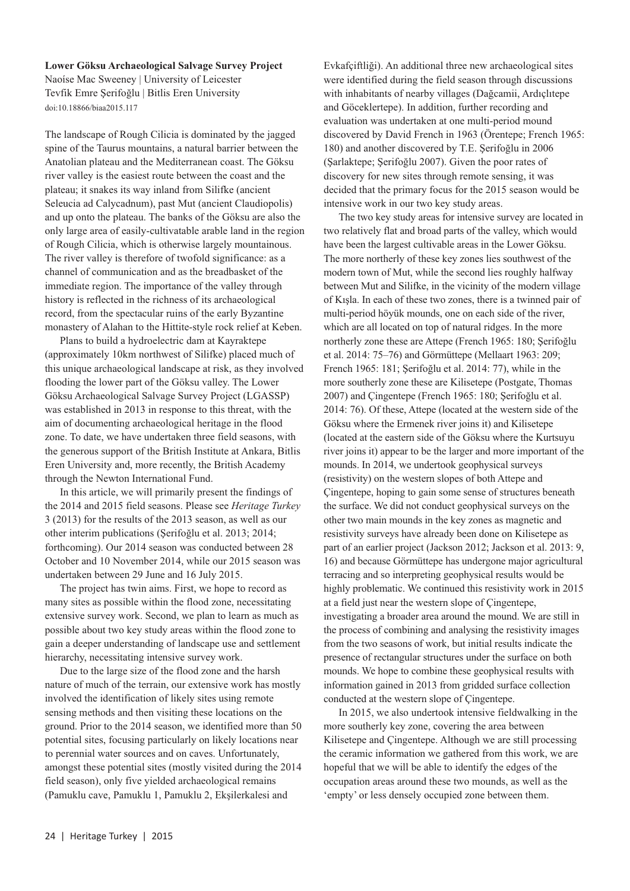## **Lower Göksu Archaeological Salvage Survey Project**

Naoíse Mac Sweeney | University of Leicester Tevfik Emre Şerifoğlu | Bitlis Eren University doi:10.18866/biaa2015.117

The landscape of Rough Cilicia is dominated by the jagged spine of the Taurus mountains, a natural barrier between the Anatolian plateau and the Mediterranean coast. The Göksu river valley is the easiest route between the coast and the plateau; it snakes its way inland from Silifke (ancient Seleucia ad Calycadnum), past Mut (ancient Claudiopolis) and up onto the plateau. The banks of the Göksu are also the only large area of easily-cultivatable arable land in the region of Rough Cilicia, which is otherwise largely mountainous. The river valley is therefore of twofold significance: as a channel of communication and as the breadbasket of the immediate region. The importance of the valley through history is reflected in the richness of its archaeological record, from the spectacular ruins of the early Byzantine monastery of Alahan to the Hittite-style rock relief at Keben.

Plans to build a hydroelectric dam at Kayraktepe (approximately 10km northwest of Silifke) placed much of this unique archaeological landscape at risk, as they involved flooding the lower part of the Göksu valley. The Lower Göksu Archaeological Salvage Survey Project (LGASSP) was established in 2013 in response to this threat, with the aim of documenting archaeological heritage in the flood zone. To date, we have undertaken three field seasons, with the generous support of the British Institute at Ankara, Bitlis Eren University and, more recently, the British Academy through the Newton International Fund.

In this article, we will primarily present the findings of the 2014 and 2015 field seasons. Please see *Heritage Turkey* 3 (2013) for the results of the 2013 season, as well as our other interim publications (Şerifoğlu et al. 2013; 2014; forthcoming). Our 2014 season was conducted between 28 October and 10 November 2014, while our 2015 season was undertaken between 29 June and 16 July 2015.

The project has twin aims. First, we hope to record as many sites as possible within the flood zone, necessitating extensive survey work. Second, we plan to learn as much as possible about two key study areas within the flood zone to gain a deeper understanding of landscape use and settlement hierarchy, necessitating intensive survey work.

Due to the large size of the flood zone and the harsh nature of much of the terrain, our extensive work has mostly involved the identification of likely sites using remote sensing methods and then visiting these locations on the ground. Prior to the 2014 season, we identified more than 50 potential sites, focusing particularly on likely locations near to perennial water sources and on caves. Unfortunately, amongst these potential sites (mostly visited during the 2014 field season), only five yielded archaeological remains (Pamuklu cave, Pamuklu 1, Pamuklu 2, Ekşilerkalesi and

Evkafçiftliği). An additional three new archaeological sites were identified during the field season through discussions with inhabitants of nearby villages (Dağcamii, Ardıçlıtepe and Göceklertepe). In addition, further recording and evaluation was undertaken at one multi-period mound discovered by David French in 1963 (Örentepe; French 1965: 180) and another discovered by T.E. Şerifoğlu in 2006 (Şarlaktepe; Şerifoğlu 2007). Given the poor rates of discovery for new sites through remote sensing, it was decided that the primary focus for the 2015 season would be intensive work in our two key study areas.

The two key study areas for intensive survey are located in two relatively flat and broad parts of the valley, which would have been the largest cultivable areas in the Lower Göksu. The more northerly of these key zones lies southwest of the modern town of Mut, while the second lies roughly halfway between Mut and Silifke, in the vicinity of the modern village of Kışla. In each of these two zones, there is a twinned pair of multi-period höyük mounds, one on each side of the river, which are all located on top of natural ridges. In the more northerly zone these are Attepe (French 1965: 180; Şerifoğlu et al. 2014: 75–76) and Görmüttepe (Mellaart 1963: 209; French 1965: 181; Şerifoğlu et al. 2014: 77), while in the more southerly zone these are Kilisetepe (Postgate, Thomas 2007) and Çingentepe (French 1965: 180; Şerifoğlu et al. 2014: 76). Of these, Attepe (located at the western side of the Göksu where the Ermenek river joins it) and Kilisetepe (located at the eastern side of the Göksu where the Kurtsuyu river joins it) appear to be the larger and more important of the mounds. In 2014, we undertook geophysical surveys (resistivity) on the western slopes of both Attepe and Çingentepe, hoping to gain some sense of structures beneath the surface. We did not conduct geophysical surveys on the other two main mounds in the key zones as magnetic and resistivity surveys have already been done on Kilisetepe as part of an earlier project (Jackson 2012; Jackson et al. 2013: 9, 16) and because Görmüttepe has undergone major agricultural terracing and so interpreting geophysical results would be highly problematic. We continued this resistivity work in 2015 at a field just near the western slope of Çingentepe, investigating a broader area around the mound. We are still in the process of combining and analysing the resistivity images from the two seasons of work, but initial results indicate the presence of rectangular structures under the surface on both mounds. We hope to combine these geophysical results with information gained in 2013 from gridded surface collection conducted at the western slope of Çingentepe.

In 2015, we also undertook intensive fieldwalking in the more southerly key zone, covering the area between Kilisetepe and Çingentepe. Although we are still processing the ceramic information we gathered from this work, we are hopeful that we will be able to identify the edges of the occupation areas around these two mounds, as well as the 'empty' or less densely occupied zone between them.